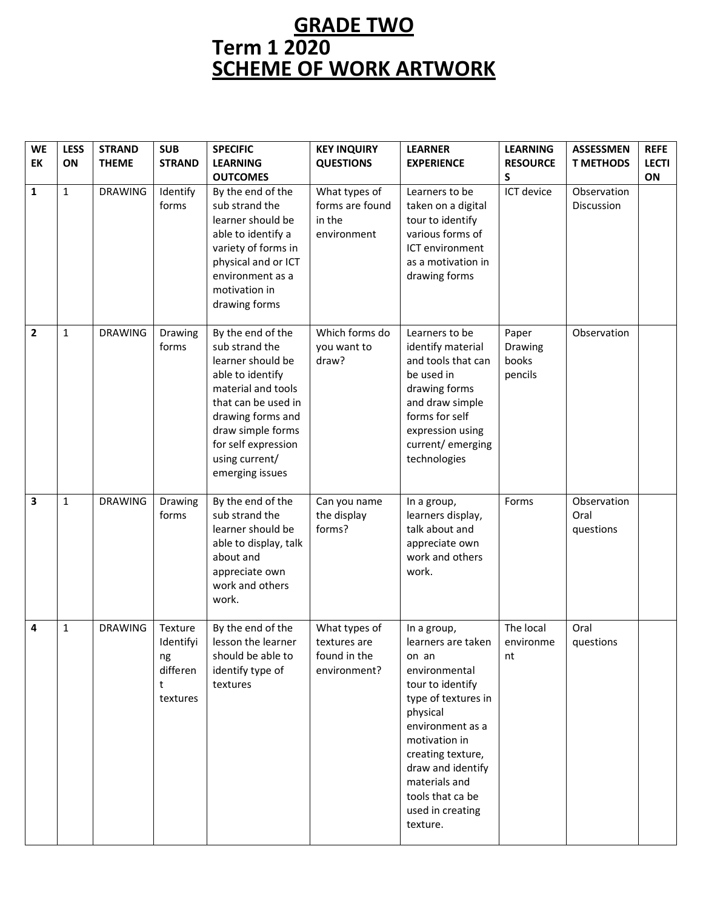## **GRADE TWO Term 1 2020 SCHEME OF WORK ARTWORK**

| <b>WE</b><br>EK | <b>LESS</b><br>ON | <b>STRAND</b><br><b>THEME</b> | <b>SUB</b><br><b>STRAND</b>                             | <b>SPECIFIC</b><br><b>LEARNING</b><br><b>OUTCOMES</b>                                                                                                                                                                           | <b>KEY INQUIRY</b><br><b>QUESTIONS</b>                        | <b>LEARNER</b><br><b>EXPERIENCE</b>                                                                                                                                                                                                                                    | <b>LEARNING</b><br><b>RESOURCE</b><br>S | <b>ASSESSMEN</b><br><b>T METHODS</b> | <b>REFE</b><br><b>LECTI</b><br>ON |
|-----------------|-------------------|-------------------------------|---------------------------------------------------------|---------------------------------------------------------------------------------------------------------------------------------------------------------------------------------------------------------------------------------|---------------------------------------------------------------|------------------------------------------------------------------------------------------------------------------------------------------------------------------------------------------------------------------------------------------------------------------------|-----------------------------------------|--------------------------------------|-----------------------------------|
| 1               | $\mathbf{1}$      | <b>DRAWING</b>                | Identify<br>forms                                       | By the end of the<br>sub strand the<br>learner should be<br>able to identify a<br>variety of forms in<br>physical and or ICT<br>environment as a<br>motivation in<br>drawing forms                                              | What types of<br>forms are found<br>in the<br>environment     | Learners to be<br>taken on a digital<br>tour to identify<br>various forms of<br>ICT environment<br>as a motivation in<br>drawing forms                                                                                                                                 | ICT device                              | Observation<br>Discussion            |                                   |
| $\overline{2}$  | $\mathbf{1}$      | <b>DRAWING</b>                | Drawing<br>forms                                        | By the end of the<br>sub strand the<br>learner should be<br>able to identify<br>material and tools<br>that can be used in<br>drawing forms and<br>draw simple forms<br>for self expression<br>using current/<br>emerging issues | Which forms do<br>you want to<br>draw?                        | Learners to be<br>identify material<br>and tools that can<br>be used in<br>drawing forms<br>and draw simple<br>forms for self<br>expression using<br>current/emerging<br>technologies                                                                                  | Paper<br>Drawing<br>books<br>pencils    | Observation                          |                                   |
| 3               | $\mathbf{1}$      | <b>DRAWING</b>                | Drawing<br>forms                                        | By the end of the<br>sub strand the<br>learner should be<br>able to display, talk<br>about and<br>appreciate own<br>work and others<br>work.                                                                                    | Can you name<br>the display<br>forms?                         | In a group,<br>learners display,<br>talk about and<br>appreciate own<br>work and others<br>work.                                                                                                                                                                       | Forms                                   | Observation<br>Oral<br>questions     |                                   |
| 4               | $\mathbf{1}$      | <b>DRAWING</b>                | Texture<br>Identifyi<br>ng<br>differen<br>t<br>textures | By the end of the<br>lesson the learner<br>should be able to<br>identify type of<br>textures                                                                                                                                    | What types of<br>textures are<br>found in the<br>environment? | In a group,<br>learners are taken<br>on an<br>environmental<br>tour to identify<br>type of textures in<br>physical<br>environment as a<br>motivation in<br>creating texture,<br>draw and identify<br>materials and<br>tools that ca be<br>used in creating<br>texture. | The local<br>environme<br>nt            | Oral<br>questions                    |                                   |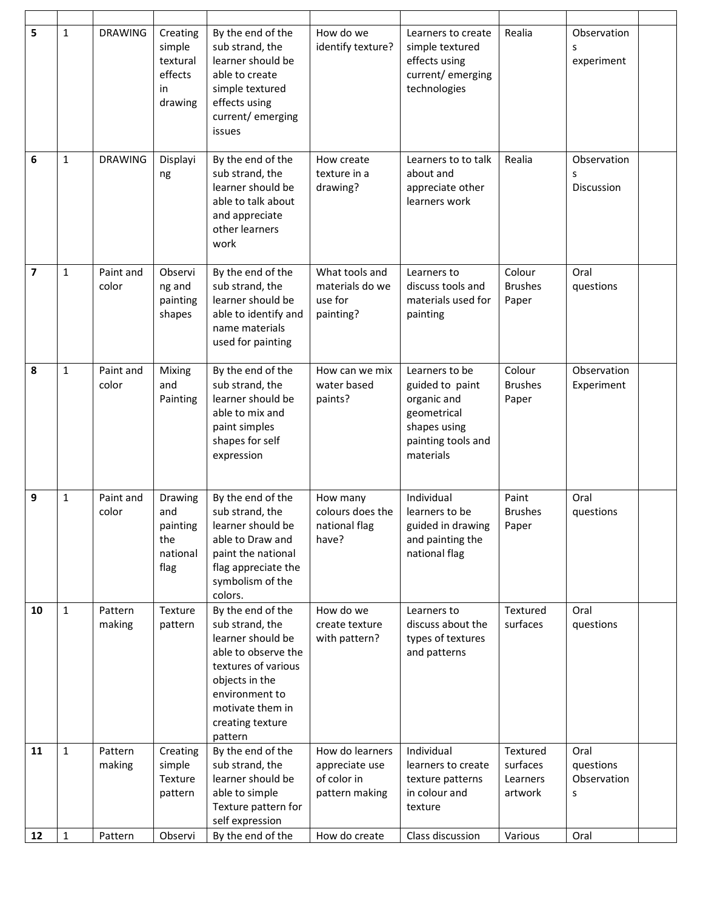| 5                       | $\mathbf{1}$ | <b>DRAWING</b>     | Creating<br>simple<br>textural<br>effects<br>in<br>drawing | By the end of the<br>sub strand, the<br>learner should be<br>able to create<br>simple textured<br>effects using<br>current/emerging<br>issues                                                  | How do we<br>identify texture?                                     | Learners to create<br>simple textured<br>effects using<br>current/emerging<br>technologies                         | Realia                                      | Observation<br>s<br>experiment        |  |
|-------------------------|--------------|--------------------|------------------------------------------------------------|------------------------------------------------------------------------------------------------------------------------------------------------------------------------------------------------|--------------------------------------------------------------------|--------------------------------------------------------------------------------------------------------------------|---------------------------------------------|---------------------------------------|--|
| 6                       | $\mathbf{1}$ | <b>DRAWING</b>     | Displayi<br>ng                                             | By the end of the<br>sub strand, the<br>learner should be<br>able to talk about<br>and appreciate<br>other learners<br>work                                                                    | How create<br>texture in a<br>drawing?                             | Learners to to talk<br>about and<br>appreciate other<br>learners work                                              | Realia                                      | Observation<br>S<br>Discussion        |  |
| $\overline{\mathbf{z}}$ | $\mathbf{1}$ | Paint and<br>color | Observi<br>ng and<br>painting<br>shapes                    | By the end of the<br>sub strand, the<br>learner should be<br>able to identify and<br>name materials<br>used for painting                                                                       | What tools and<br>materials do we<br>use for<br>painting?          | Learners to<br>discuss tools and<br>materials used for<br>painting                                                 | Colour<br><b>Brushes</b><br>Paper           | Oral<br>questions                     |  |
| 8                       | $\mathbf{1}$ | Paint and<br>color | Mixing<br>and<br>Painting                                  | By the end of the<br>sub strand, the<br>learner should be<br>able to mix and<br>paint simples<br>shapes for self<br>expression                                                                 | How can we mix<br>water based<br>paints?                           | Learners to be<br>guided to paint<br>organic and<br>geometrical<br>shapes using<br>painting tools and<br>materials | Colour<br><b>Brushes</b><br>Paper           | Observation<br>Experiment             |  |
| 9                       | $\mathbf{1}$ | Paint and<br>color | Drawing<br>and<br>painting<br>the<br>national<br>flag      | By the end of the<br>sub strand, the<br>learner should be<br>able to Draw and<br>paint the national<br>flag appreciate the<br>symbolism of the<br>colors.                                      | How many<br>colours does the<br>national flag<br>have?             | Individual<br>learners to be<br>guided in drawing<br>and painting the<br>national flag                             | Paint<br><b>Brushes</b><br>Paper            | Oral<br>questions                     |  |
| 10                      | $\mathbf{1}$ | Pattern<br>making  | Texture<br>pattern                                         | By the end of the<br>sub strand, the<br>learner should be<br>able to observe the<br>textures of various<br>objects in the<br>environment to<br>motivate them in<br>creating texture<br>pattern | How do we<br>create texture<br>with pattern?                       | Learners to<br>discuss about the<br>types of textures<br>and patterns                                              | Textured<br>surfaces                        | Oral<br>questions                     |  |
| 11                      | $\mathbf{1}$ | Pattern<br>making  | Creating<br>simple<br>Texture<br>pattern                   | By the end of the<br>sub strand, the<br>learner should be<br>able to simple<br>Texture pattern for<br>self expression                                                                          | How do learners<br>appreciate use<br>of color in<br>pattern making | Individual<br>learners to create<br>texture patterns<br>in colour and<br>texture                                   | Textured<br>surfaces<br>Learners<br>artwork | Oral<br>questions<br>Observation<br>s |  |
| 12                      | $\mathbf 1$  | Pattern            | Observi                                                    | By the end of the                                                                                                                                                                              | How do create                                                      | Class discussion                                                                                                   | Various                                     | Oral                                  |  |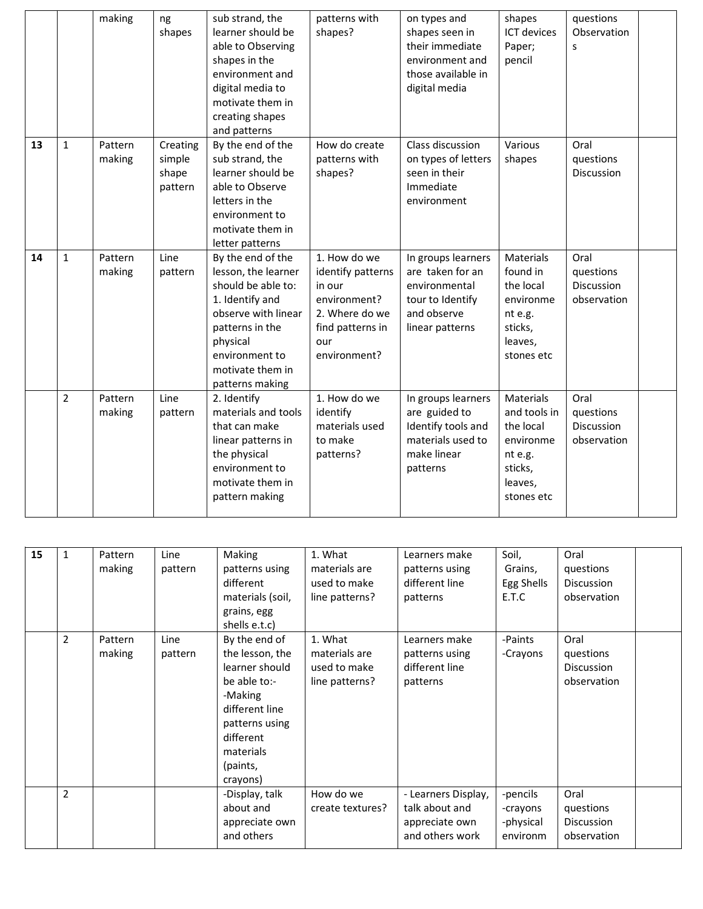|    |                | making            | ng<br>shapes                           | sub strand, the<br>learner should be<br>able to Observing<br>shapes in the<br>environment and<br>digital media to<br>motivate them in<br>creating shapes<br>and patterns                         | patterns with<br>shapes?                                                                                                 | on types and<br>shapes seen in<br>their immediate<br>environment and<br>those available in<br>digital media   | shapes<br><b>ICT</b> devices<br>Paper;<br>pencil                                                   | questions<br>Observation<br>S                  |  |
|----|----------------|-------------------|----------------------------------------|--------------------------------------------------------------------------------------------------------------------------------------------------------------------------------------------------|--------------------------------------------------------------------------------------------------------------------------|---------------------------------------------------------------------------------------------------------------|----------------------------------------------------------------------------------------------------|------------------------------------------------|--|
| 13 | $\mathbf{1}$   | Pattern<br>making | Creating<br>simple<br>shape<br>pattern | By the end of the<br>sub strand, the<br>learner should be<br>able to Observe<br>letters in the<br>environment to<br>motivate them in<br>letter patterns                                          | How do create<br>patterns with<br>shapes?                                                                                | Class discussion<br>on types of letters<br>seen in their<br>Immediate<br>environment                          | Various<br>shapes                                                                                  | Oral<br>questions<br>Discussion                |  |
| 14 | $\mathbf{1}$   | Pattern<br>making | Line<br>pattern                        | By the end of the<br>lesson, the learner<br>should be able to:<br>1. Identify and<br>observe with linear<br>patterns in the<br>physical<br>environment to<br>motivate them in<br>patterns making | 1. How do we<br>identify patterns<br>in our<br>environment?<br>2. Where do we<br>find patterns in<br>our<br>environment? | In groups learners<br>are taken for an<br>environmental<br>tour to Identify<br>and observe<br>linear patterns | Materials<br>found in<br>the local<br>environme<br>nt e.g.<br>sticks,<br>leaves,<br>stones etc     | Oral<br>questions<br>Discussion<br>observation |  |
|    | $\overline{2}$ | Pattern<br>making | Line<br>pattern                        | 2. Identify<br>materials and tools<br>that can make<br>linear patterns in<br>the physical<br>environment to<br>motivate them in<br>pattern making                                                | 1. How do we<br>identify<br>materials used<br>to make<br>patterns?                                                       | In groups learners<br>are guided to<br>Identify tools and<br>materials used to<br>make linear<br>patterns     | Materials<br>and tools in<br>the local<br>environme<br>nt e.g.<br>sticks,<br>leaves,<br>stones etc | Oral<br>questions<br>Discussion<br>observation |  |

| 15 | 1              | Pattern<br>making | Line<br>pattern | Making<br>patterns using<br>different<br>materials (soil,<br>grains, egg<br>shells e.t.c)                                                                           | 1. What<br>materials are<br>used to make<br>line patterns? | Learners make<br>patterns using<br>different line<br>patterns              | Soil,<br>Grains,<br>Egg Shells<br>E.T.C       | Oral<br>questions<br><b>Discussion</b><br>observation |  |
|----|----------------|-------------------|-----------------|---------------------------------------------------------------------------------------------------------------------------------------------------------------------|------------------------------------------------------------|----------------------------------------------------------------------------|-----------------------------------------------|-------------------------------------------------------|--|
|    | $\overline{2}$ | Pattern<br>making | Line<br>pattern | By the end of<br>the lesson, the<br>learner should<br>be able to:-<br>-Making<br>different line<br>patterns using<br>different<br>materials<br>(paints,<br>crayons) | 1. What<br>materials are<br>used to make<br>line patterns? | Learners make<br>patterns using<br>different line<br>patterns              | -Paints<br>-Crayons                           | Oral<br>questions<br><b>Discussion</b><br>observation |  |
|    | $\overline{2}$ |                   |                 | -Display, talk<br>about and<br>appreciate own<br>and others                                                                                                         | How do we<br>create textures?                              | - Learners Display,<br>talk about and<br>appreciate own<br>and others work | -pencils<br>-crayons<br>-physical<br>environm | Oral<br>questions<br>Discussion<br>observation        |  |